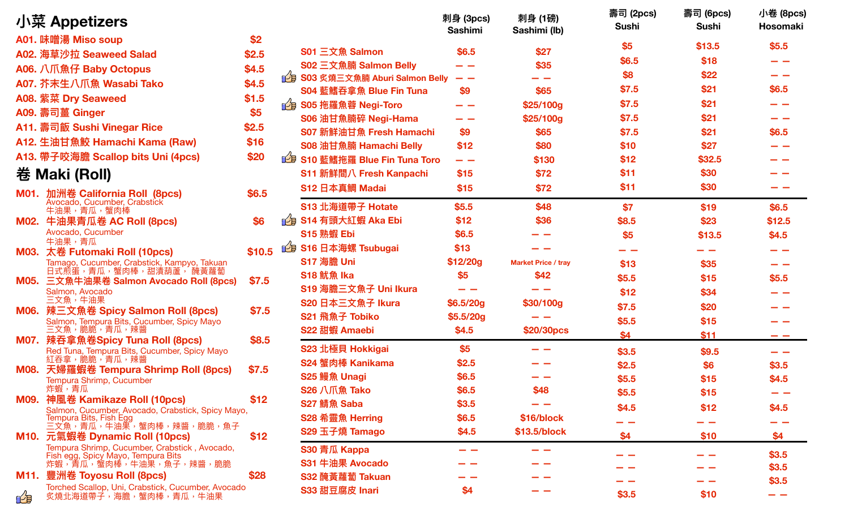| 小菜 Appetizers                                                                     |        |                                 | 刺身 (3pcs)<br><b>Sashimi</b> | 刺身 (1磅)<br>Sashimi (lb)    | 壽司 (2pcs)<br><b>Sushi</b> | 壽司 (6pcs)<br><b>Sushi</b> | 小卷 (8pcs)<br>Hosomaki |
|-----------------------------------------------------------------------------------|--------|---------------------------------|-----------------------------|----------------------------|---------------------------|---------------------------|-----------------------|
| A01. 味噌湯 Miso soup                                                                | \$2    |                                 |                             |                            | \$5                       | \$13.5                    | \$5.5                 |
| A02. 海草沙拉 Seaweed Salad                                                           | \$2.5  | <b>S01 三文魚 Salmon</b>           | \$6.5                       | \$27                       | \$6.5                     | \$18                      | - -                   |
| A06. 八爪魚仔 Baby Octopus                                                            | \$4.5  | S02 三文魚腩 Salmon Belly           |                             | \$35                       | \$8                       | \$22                      | - -                   |
| A07. 芥末生八爪魚 Wasabi Tako                                                           | \$4.5  | ■ S03 炙燒三文魚腩 Aburi Salmon Belly | - -                         | __                         | \$7.5                     | \$21                      | \$6.5                 |
| A08. 紫菜 Dry Seaweed                                                               | \$1.5  | S04 藍鰭吞拿魚 Blue Fin Tuna         | \$9                         | \$65                       |                           |                           |                       |
| A09. 壽司薑 Ginger                                                                   | \$5    | gg S05 拖羅魚蓉 Negi-Toro           | - -                         | \$25/100g                  | \$7.5                     | \$21                      | - -                   |
| A11. 壽司飯 Sushi Vinegar Rice                                                       | \$2.5  | S06 油甘魚腩碎 Negi-Hama             | - -                         | \$25/100g                  | \$7.5                     | \$21                      | - -                   |
| A12. 生油甘魚鮫 Hamachi Kama (Raw)                                                     | \$16   | <b>S07 新鮮油甘魚 Fresh Hamachi</b>  | \$9                         | \$65                       | \$7.5                     | \$21                      | \$6.5                 |
| A13. 帶子咬海膽 Scallop bits Uni (4pcs)                                                | \$20   | <b>S08 油甘魚腩 Hamachi Belly</b>   | \$12                        | \$80                       | \$10                      | \$27                      | - -                   |
|                                                                                   |        | LB S10 藍鰭拖羅 Blue Fin Tuna Toro  | - -                         | \$130                      | \$12                      | \$32.5                    |                       |
| 卷 Maki (Roll)                                                                     |        | S11 新鮮間八 Fresh Kanpachi         | \$15                        | \$72                       | \$11                      | \$30                      |                       |
| 加洲卷 California Roll (8pcs)<br>M01.                                                | \$6.5  | S12 日本真鯛 Madai                  | \$15                        | \$72                       | \$11                      | \$30                      |                       |
| Avocado, Cucumber, Crabstick<br>牛油果,青瓜,蟹肉棒                                        |        | S13 北海道帶子 Hotate                | \$5.5                       | \$48                       | \$7                       | \$19                      | \$6.5                 |
| M02. 牛油果青瓜卷 AC Roll (8pcs)                                                        | \$6    | <b>19 S14 有頭大紅蝦 Aka Ebi</b>     | \$12                        | \$36                       | \$8.5                     | \$23                      | \$12.5                |
| Avocado, Cucumber                                                                 |        | S15 熟蝦 Ebi                      | \$6.5                       |                            | \$5                       | \$13.5                    | \$4.5                 |
| 牛油果,青瓜<br>M03. 太卷 Futomaki Roll (10pcs)                                           | \$10.5 | 19 S16 日本海螺 Tsubugai            | \$13                        |                            |                           |                           | - -                   |
| Tamago, Cucumber, Crabstick, Kampyo, Takuan                                       |        | S17 海膽 Uni                      | \$12/20g                    | <b>Market Price / tray</b> | \$13                      | \$35                      | - -                   |
| 日式煎蛋,青瓜,蟹肉棒,甜漬葫蘆 <sup>','</sup> 醃黃蘿蔔<br>M05. 三文魚牛油果卷 Salmon Avocado Roll (8pcs)   | \$7.5  | S18 魷魚 Ika                      | \$5                         | \$42                       | \$5.5                     | \$15                      | \$5.5                 |
| Salmon, Avocado                                                                   |        | S19 海膽三文魚子 Uni Ikura            |                             |                            | \$12                      | \$34                      | - -                   |
| 三文魚,牛油果                                                                           | \$7.5  | S20 日本三文魚子 Ikura                | \$6.5/20g                   | \$30/100g                  | \$7.5                     | \$20                      |                       |
| M06. 辣三文魚卷 Spicy Salmon Roll (8pcs)<br>Salmon, Tempura Bits, Cucumber, Spicy Mayo |        | S21 飛魚子 Tobiko                  | \$5.5/20g                   |                            | \$5.5                     | \$15                      |                       |
| 三文魚,脆脆,青瓜,辣醬                                                                      |        | S22 甜蝦 Amaebi                   | \$4.5                       | \$20/30pcs                 | \$4                       | \$11                      | $- -$                 |
| M07. 辣吞拿魚卷Spicy Tuna Roll (8pcs)<br>Red Tuna, Tempura Bits, Cucumber, Spicy Mayo  | \$8.5  | S23 北極貝 Hokkigai                | \$5                         |                            | \$3.5                     | \$9.5                     | - -                   |
| 紅吞拿,脆脆,青瓜,辣醬                                                                      |        | S24 蟹肉棒 Kanikama                | \$2.5                       |                            | \$2.5                     | \$6                       | \$3.5                 |
| 天婦羅蝦卷 Tempura Shrimp Roll (8pcs)<br>M08.<br>Tempura Shrimp, Cucumber              | \$7.5  | S25 鰻魚 Unagi                    | \$6.5                       |                            | \$5.5                     | \$15                      | \$4.5                 |
| 炸蝦,青瓜                                                                             |        | S26 八爪魚 Tako                    | \$6.5                       | \$48                       | \$5.5                     | \$15                      |                       |
| M09. 神風卷 Kamikaze Roll (10pcs)                                                    | \$12   | S27 鯖魚 Saba                     | \$3.5                       |                            | \$4.5                     | \$12                      | \$4.5                 |
| Salmon, Cucumber, Avocado, Crabstick, Spicy Mayo,<br>Tempura Bits, Fish Egg       |        | S28 希靈魚 Herring                 | \$6.5                       | \$16/block                 |                           |                           |                       |
| 三文魚,青瓜,牛油果,蟹肉棒,辣醬,脆脆,魚子                                                           |        | S29 玉子燒 Tamago                  | \$4.5                       | \$13.5/block               | \$4                       | \$10                      | \$4                   |
| M10. 元氣蝦卷 Dynamic Roll (10pcs)<br>Tempura Shrimp, Cucumber, Crabstick, Avocado,   | \$12   | S30 青瓜 Kappa                    | - -                         | - -                        |                           |                           |                       |
| Fish egg, Spicy Mayo, Tempura Bits<br>炸蝦,青瓜,蟹肉棒,牛油果,魚子,辣醬,脆脆                      |        | S31 牛油果 Avocado                 |                             |                            |                           |                           | \$3.5                 |
| M11. 豐洲卷 Toyosu Roll (8pcs)                                                       | \$28   | S32 醃黃蘿蔔 Takuan                 |                             |                            |                           |                           | \$3.5                 |
| Torched Scallop, Uni, Crabstick, Cucumber, Avocado                                |        | S33 甜豆腐皮 Inari                  | \$4                         |                            |                           |                           | \$3.5                 |
| 炙燒北海道帶子,海膽,蟹肉棒,青瓜,牛油果<br>D-13                                                     |        |                                 |                             |                            | \$3.5                     | \$10                      | - -                   |